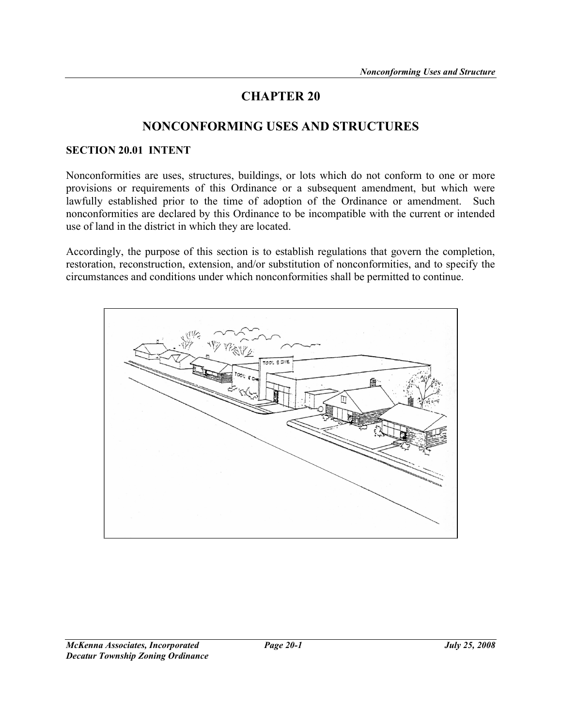# CHAPTER 20

# NONCONFORMING USES AND STRUCTURES

#### SECTION 20.01 INTENT

Nonconformities are uses, structures, buildings, or lots which do not conform to one or more provisions or requirements of this Ordinance or a subsequent amendment, but which were lawfully established prior to the time of adoption of the Ordinance or amendment. Such nonconformities are declared by this Ordinance to be incompatible with the current or intended use of land in the district in which they are located.

Accordingly, the purpose of this section is to establish regulations that govern the completion, restoration, reconstruction, extension, and/or substitution of nonconformities, and to specify the circumstances and conditions under which nonconformities shall be permitted to continue.

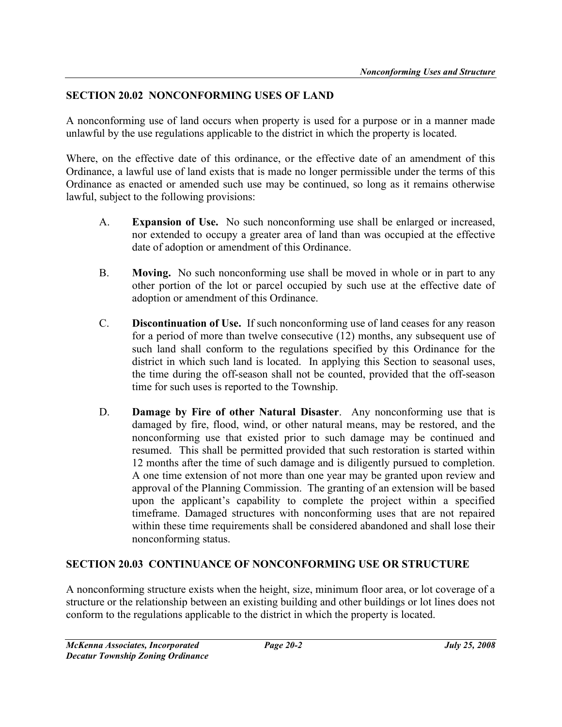# SECTION 20.02 NONCONFORMING USES OF LAND

A nonconforming use of land occurs when property is used for a purpose or in a manner made unlawful by the use regulations applicable to the district in which the property is located.

Where, on the effective date of this ordinance, or the effective date of an amendment of this Ordinance, a lawful use of land exists that is made no longer permissible under the terms of this Ordinance as enacted or amended such use may be continued, so long as it remains otherwise lawful, subject to the following provisions:

- A. Expansion of Use. No such nonconforming use shall be enlarged or increased, nor extended to occupy a greater area of land than was occupied at the effective date of adoption or amendment of this Ordinance.
- B. Moving. No such nonconforming use shall be moved in whole or in part to any other portion of the lot or parcel occupied by such use at the effective date of adoption or amendment of this Ordinance.
- C. Discontinuation of Use. If such nonconforming use of land ceases for any reason for a period of more than twelve consecutive (12) months, any subsequent use of such land shall conform to the regulations specified by this Ordinance for the district in which such land is located. In applying this Section to seasonal uses, the time during the off-season shall not be counted, provided that the off-season time for such uses is reported to the Township.
- D. **Damage by Fire of other Natural Disaster**. Any nonconforming use that is damaged by fire, flood, wind, or other natural means, may be restored, and the nonconforming use that existed prior to such damage may be continued and resumed. This shall be permitted provided that such restoration is started within 12 months after the time of such damage and is diligently pursued to completion. A one time extension of not more than one year may be granted upon review and approval of the Planning Commission. The granting of an extension will be based upon the applicant's capability to complete the project within a specified timeframe. Damaged structures with nonconforming uses that are not repaired within these time requirements shall be considered abandoned and shall lose their nonconforming status.

## SECTION 20.03 CONTINUANCE OF NONCONFORMING USE OR STRUCTURE

A nonconforming structure exists when the height, size, minimum floor area, or lot coverage of a structure or the relationship between an existing building and other buildings or lot lines does not conform to the regulations applicable to the district in which the property is located.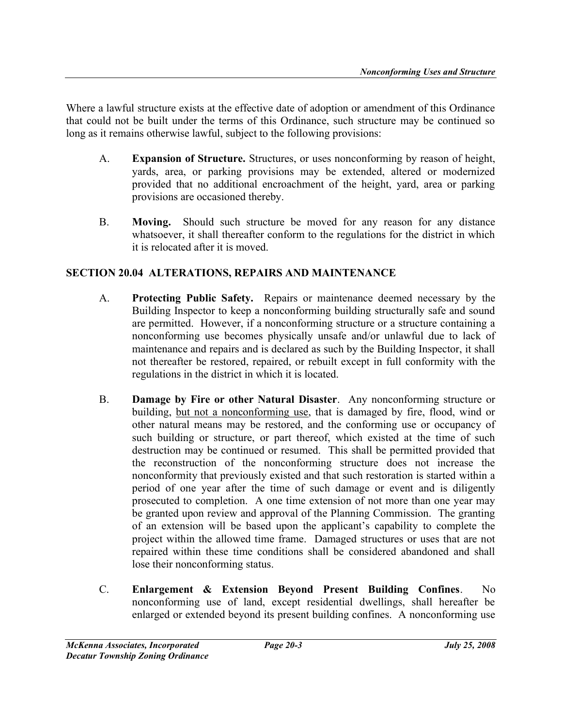Where a lawful structure exists at the effective date of adoption or amendment of this Ordinance that could not be built under the terms of this Ordinance, such structure may be continued so long as it remains otherwise lawful, subject to the following provisions:

- A. Expansion of Structure. Structures, or uses nonconforming by reason of height, yards, area, or parking provisions may be extended, altered or modernized provided that no additional encroachment of the height, yard, area or parking provisions are occasioned thereby.
- B. Moving. Should such structure be moved for any reason for any distance whatsoever, it shall thereafter conform to the regulations for the district in which it is relocated after it is moved.

# SECTION 20.04 ALTERATIONS, REPAIRS AND MAINTENANCE

- A. Protecting Public Safety. Repairs or maintenance deemed necessary by the Building Inspector to keep a nonconforming building structurally safe and sound are permitted. However, if a nonconforming structure or a structure containing a nonconforming use becomes physically unsafe and/or unlawful due to lack of maintenance and repairs and is declared as such by the Building Inspector, it shall not thereafter be restored, repaired, or rebuilt except in full conformity with the regulations in the district in which it is located.
- B. Damage by Fire or other Natural Disaster. Any nonconforming structure or building, but not a nonconforming use, that is damaged by fire, flood, wind or other natural means may be restored, and the conforming use or occupancy of such building or structure, or part thereof, which existed at the time of such destruction may be continued or resumed. This shall be permitted provided that the reconstruction of the nonconforming structure does not increase the nonconformity that previously existed and that such restoration is started within a period of one year after the time of such damage or event and is diligently prosecuted to completion. A one time extension of not more than one year may be granted upon review and approval of the Planning Commission. The granting of an extension will be based upon the applicant's capability to complete the project within the allowed time frame. Damaged structures or uses that are not repaired within these time conditions shall be considered abandoned and shall lose their nonconforming status.
- C. Enlargement & Extension Beyond Present Building Confines. No nonconforming use of land, except residential dwellings, shall hereafter be enlarged or extended beyond its present building confines. A nonconforming use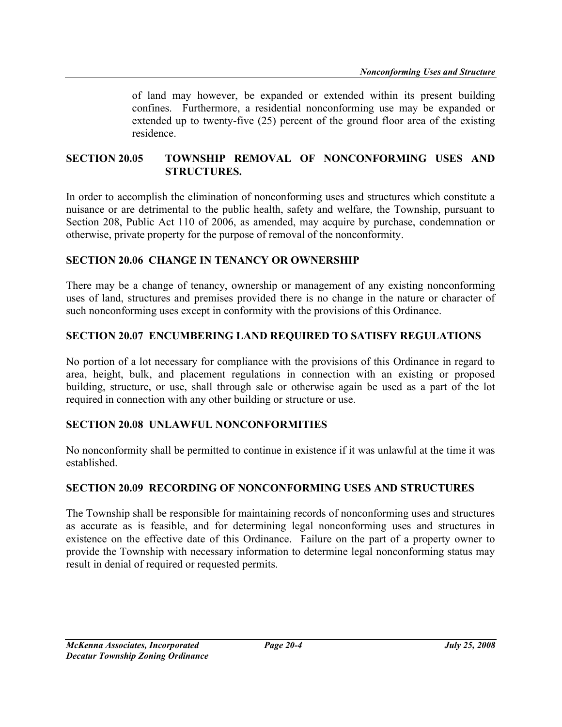of land may however, be expanded or extended within its present building confines. Furthermore, a residential nonconforming use may be expanded or extended up to twenty-five (25) percent of the ground floor area of the existing residence.

#### SECTION 20.05 TOWNSHIP REMOVAL OF NONCONFORMING USES AND STRUCTURES.

In order to accomplish the elimination of nonconforming uses and structures which constitute a nuisance or are detrimental to the public health, safety and welfare, the Township, pursuant to Section 208, Public Act 110 of 2006, as amended, may acquire by purchase, condemnation or otherwise, private property for the purpose of removal of the nonconformity.

## SECTION 20.06 CHANGE IN TENANCY OR OWNERSHIP

There may be a change of tenancy, ownership or management of any existing nonconforming uses of land, structures and premises provided there is no change in the nature or character of such nonconforming uses except in conformity with the provisions of this Ordinance.

#### SECTION 20.07 ENCUMBERING LAND REQUIRED TO SATISFY REGULATIONS

No portion of a lot necessary for compliance with the provisions of this Ordinance in regard to area, height, bulk, and placement regulations in connection with an existing or proposed building, structure, or use, shall through sale or otherwise again be used as a part of the lot required in connection with any other building or structure or use.

## SECTION 20.08 UNLAWFUL NONCONFORMITIES

No nonconformity shall be permitted to continue in existence if it was unlawful at the time it was established.

#### SECTION 20.09 RECORDING OF NONCONFORMING USES AND STRUCTURES

The Township shall be responsible for maintaining records of nonconforming uses and structures as accurate as is feasible, and for determining legal nonconforming uses and structures in existence on the effective date of this Ordinance. Failure on the part of a property owner to provide the Township with necessary information to determine legal nonconforming status may result in denial of required or requested permits.